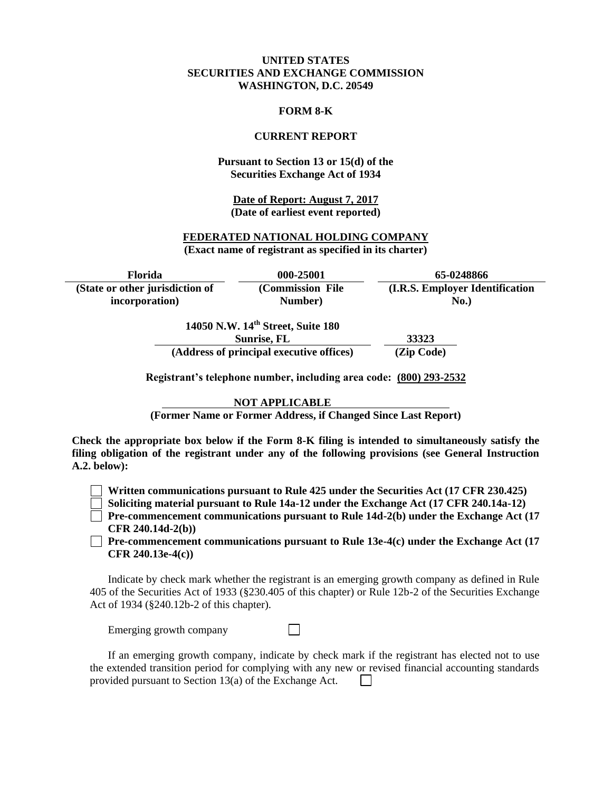#### **UNITED STATES SECURITIES AND EXCHANGE COMMISSION WASHINGTON, D.C. 20549**

#### **FORM 8-K**

#### **CURRENT REPORT**

#### **Pursuant to Section 13 or 15(d) of the Securities Exchange Act of 1934**

**Date of Report: August 7, 2017 (Date of earliest event reported)**

#### **FEDERATED NATIONAL HOLDING COMPANY (Exact name of registrant as specified in its charter)**

**Florida 000-25001 65-0248866 (State or other jurisdiction of incorporation) (Commission File Number) (I.R.S. Employer Identification No.)** 

> **14050 N.W. 14th Street, Suite 180 Sunrise, FL 33323 (Address of principal executive offices) (Zip Code)**

**Registrant's telephone number, including area code: (800) 293-2532**

**NOT APPLICABLE (Former Name or Former Address, if Changed Since Last Report)** 

**Check the appropriate box below if the Form 8-K filing is intended to simultaneously satisfy the filing obligation of the registrant under any of the following provisions (see General Instruction A.2. below):**

**Written communications pursuant to Rule 425 under the Securities Act (17 CFR 230.425)**

**Soliciting material pursuant to Rule 14a-12 under the Exchange Act (17 CFR 240.14a-12)**

**Pre-commencement communications pursuant to Rule 14d-2(b) under the Exchange Act (17 CFR 240.14d-2(b))**

**Pre-commencement communications pursuant to Rule 13e-4(c) under the Exchange Act (17 CFR 240.13e-4(c))**

Indicate by check mark whether the registrant is an emerging growth company as defined in Rule 405 of the Securities Act of 1933 (§230.405 of this chapter) or Rule 12b-2 of the Securities Exchange Act of 1934 (§240.12b-2 of this chapter).

 $\Box$ 

Emerging growth company

If an emerging growth company, indicate by check mark if the registrant has elected not to use the extended transition period for complying with any new or revised financial accounting standards provided pursuant to Section 13(a) of the Exchange Act.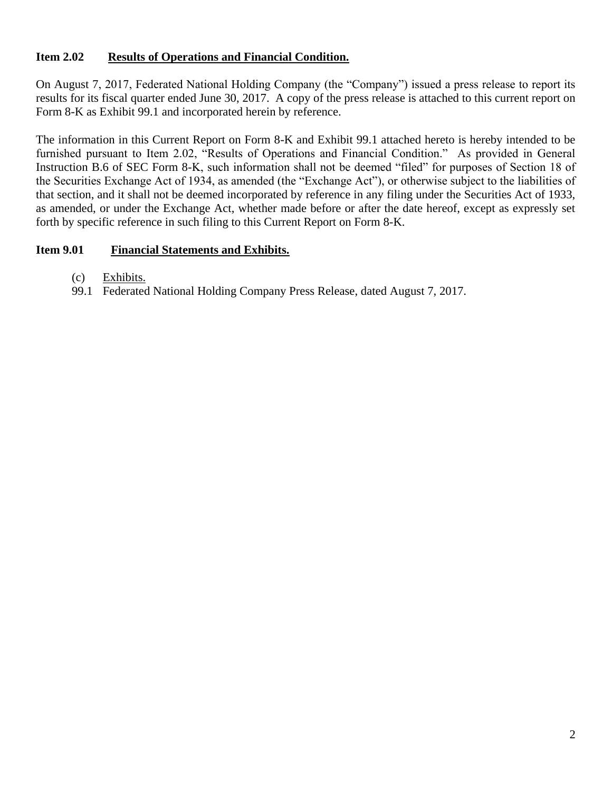### **Item 2.02 Results of Operations and Financial Condition.**

On August 7, 2017, Federated National Holding Company (the "Company") issued a press release to report its results for its fiscal quarter ended June 30, 2017. A copy of the press release is attached to this current report on Form 8-K as Exhibit 99.1 and incorporated herein by reference.

The information in this Current Report on Form 8-K and Exhibit 99.1 attached hereto is hereby intended to be furnished pursuant to Item 2.02, "Results of Operations and Financial Condition." As provided in General Instruction B.6 of SEC Form 8-K, such information shall not be deemed "filed" for purposes of Section 18 of the Securities Exchange Act of 1934, as amended (the "Exchange Act"), or otherwise subject to the liabilities of that section, and it shall not be deemed incorporated by reference in any filing under the Securities Act of 1933, as amended, or under the Exchange Act, whether made before or after the date hereof, except as expressly set forth by specific reference in such filing to this Current Report on Form 8-K.

### **Item 9.01 Financial Statements and Exhibits.**

- (c) Exhibits.
- 99.1 Federated National Holding Company Press Release, dated August 7, 2017.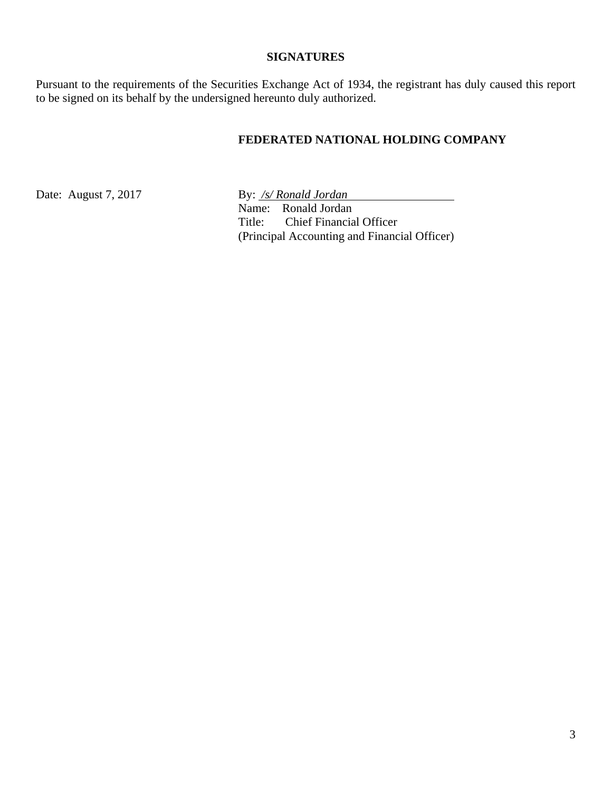#### **SIGNATURES**

Pursuant to the requirements of the Securities Exchange Act of 1934, the registrant has duly caused this report to be signed on its behalf by the undersigned hereunto duly authorized.

## **FEDERATED NATIONAL HOLDING COMPANY**

Date: August 7, 2017 By: */s/ Ronald Jordan* Name: Ronald Jordan<br>Title: Chief Financia Chief Financial Officer (Principal Accounting and Financial Officer)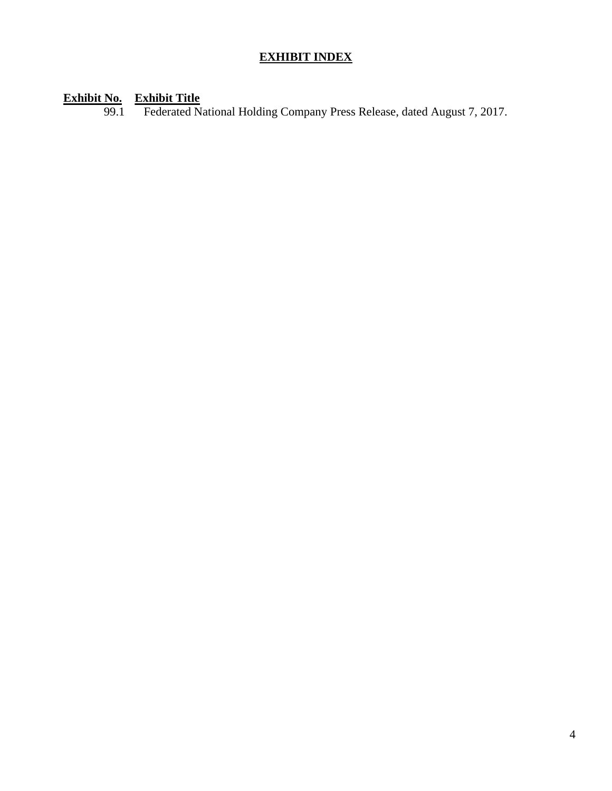# **EXHIBIT INDEX**

### **Exhibit No. Exhibit Title**

99.1 Federated National Holding Company Press Release, dated August 7, 2017.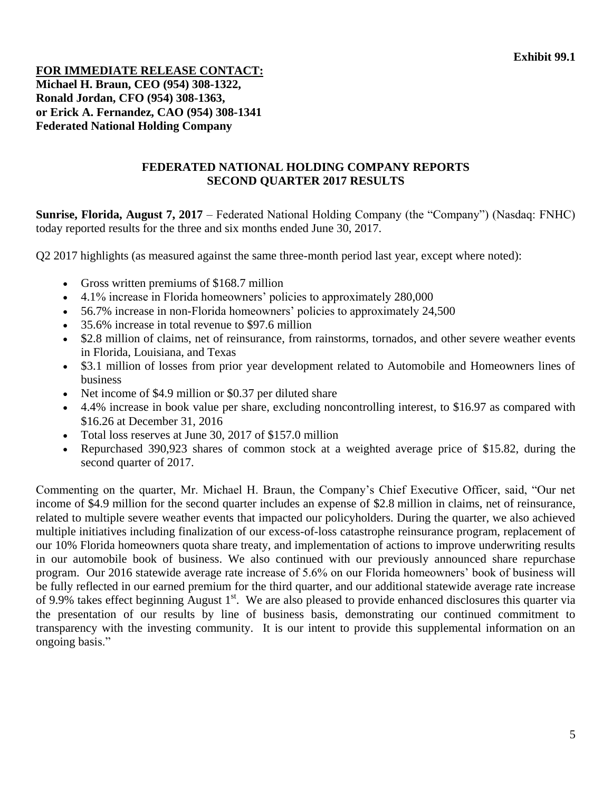**FOR IMMEDIATE RELEASE CONTACT: Michael H. Braun, CEO (954) 308-1322, Ronald Jordan, CFO (954) 308-1363, or Erick A. Fernandez, CAO (954) 308-1341 Federated National Holding Company**

#### **FEDERATED NATIONAL HOLDING COMPANY REPORTS SECOND QUARTER 2017 RESULTS**

**Sunrise, Florida, August 7, 2017** – Federated National Holding Company (the "Company") (Nasdaq: FNHC) today reported results for the three and six months ended June 30, 2017.

Q2 2017 highlights (as measured against the same three-month period last year, except where noted):

- Gross written premiums of \$168.7 million
- 4.1% increase in Florida homeowners' policies to approximately 280,000
- 56.7% increase in non-Florida homeowners' policies to approximately 24,500
- 35.6% increase in total revenue to \$97.6 million
- \$2.8 million of claims, net of reinsurance, from rainstorms, tornados, and other severe weather events in Florida, Louisiana, and Texas
- \$3.1 million of losses from prior year development related to Automobile and Homeowners lines of business
- Net income of \$4.9 million or \$0.37 per diluted share
- 4.4% increase in book value per share, excluding noncontrolling interest, to \$16.97 as compared with \$16.26 at December 31, 2016
- Total loss reserves at June 30, 2017 of \$157.0 million
- Repurchased 390,923 shares of common stock at a weighted average price of \$15.82, during the second quarter of 2017.

Commenting on the quarter, Mr. Michael H. Braun, the Company's Chief Executive Officer, said, "Our net income of \$4.9 million for the second quarter includes an expense of \$2.8 million in claims, net of reinsurance, related to multiple severe weather events that impacted our policyholders. During the quarter, we also achieved multiple initiatives including finalization of our excess-of-loss catastrophe reinsurance program, replacement of our 10% Florida homeowners quota share treaty, and implementation of actions to improve underwriting results in our automobile book of business. We also continued with our previously announced share repurchase program. Our 2016 statewide average rate increase of 5.6% on our Florida homeowners' book of business will be fully reflected in our earned premium for the third quarter, and our additional statewide average rate increase of 9.9% takes effect beginning August 1<sup>st</sup>. We are also pleased to provide enhanced disclosures this quarter via the presentation of our results by line of business basis, demonstrating our continued commitment to transparency with the investing community. It is our intent to provide this supplemental information on an ongoing basis."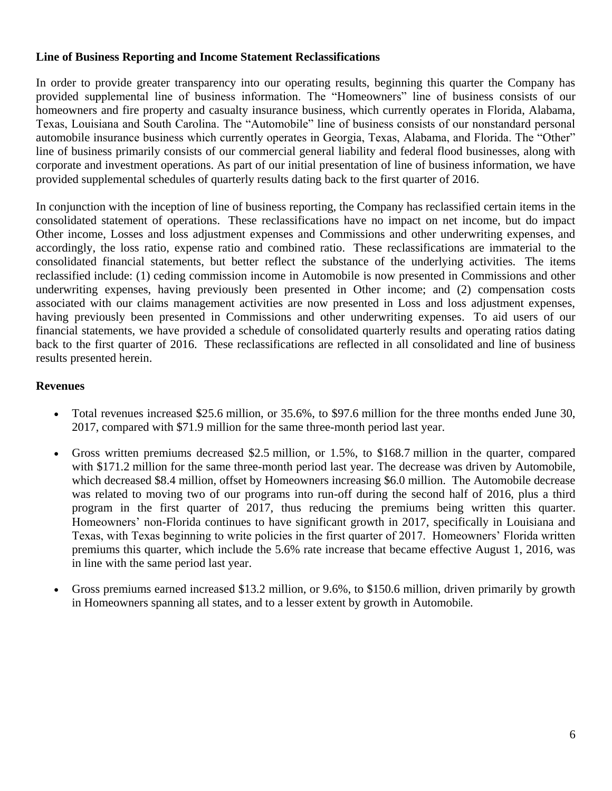#### **Line of Business Reporting and Income Statement Reclassifications**

In order to provide greater transparency into our operating results, beginning this quarter the Company has provided supplemental line of business information. The "Homeowners" line of business consists of our homeowners and fire property and casualty insurance business, which currently operates in Florida, Alabama, Texas, Louisiana and South Carolina. The "Automobile" line of business consists of our nonstandard personal automobile insurance business which currently operates in Georgia, Texas, Alabama, and Florida. The "Other" line of business primarily consists of our commercial general liability and federal flood businesses, along with corporate and investment operations. As part of our initial presentation of line of business information, we have provided supplemental schedules of quarterly results dating back to the first quarter of 2016.

In conjunction with the inception of line of business reporting, the Company has reclassified certain items in the consolidated statement of operations. These reclassifications have no impact on net income, but do impact Other income, Losses and loss adjustment expenses and Commissions and other underwriting expenses, and accordingly, the loss ratio, expense ratio and combined ratio. These reclassifications are immaterial to the consolidated financial statements, but better reflect the substance of the underlying activities. The items reclassified include: (1) ceding commission income in Automobile is now presented in Commissions and other underwriting expenses, having previously been presented in Other income; and (2) compensation costs associated with our claims management activities are now presented in Loss and loss adjustment expenses, having previously been presented in Commissions and other underwriting expenses. To aid users of our financial statements, we have provided a schedule of consolidated quarterly results and operating ratios dating back to the first quarter of 2016. These reclassifications are reflected in all consolidated and line of business results presented herein.

### **Revenues**

- Total revenues increased \$25.6 million, or 35.6%, to \$97.6 million for the three months ended June 30, 2017, compared with \$71.9 million for the same three-month period last year.
- Gross written premiums decreased \$2.5 million, or 1.5%, to \$168.7 million in the quarter, compared with \$171.2 million for the same three-month period last year. The decrease was driven by Automobile, which decreased \$8.4 million, offset by Homeowners increasing \$6.0 million. The Automobile decrease was related to moving two of our programs into run-off during the second half of 2016, plus a third program in the first quarter of 2017, thus reducing the premiums being written this quarter. Homeowners' non-Florida continues to have significant growth in 2017, specifically in Louisiana and Texas, with Texas beginning to write policies in the first quarter of 2017. Homeowners' Florida written premiums this quarter, which include the 5.6% rate increase that became effective August 1, 2016, was in line with the same period last year.
- Gross premiums earned increased \$13.2 million, or 9.6%, to \$150.6 million, driven primarily by growth in Homeowners spanning all states, and to a lesser extent by growth in Automobile.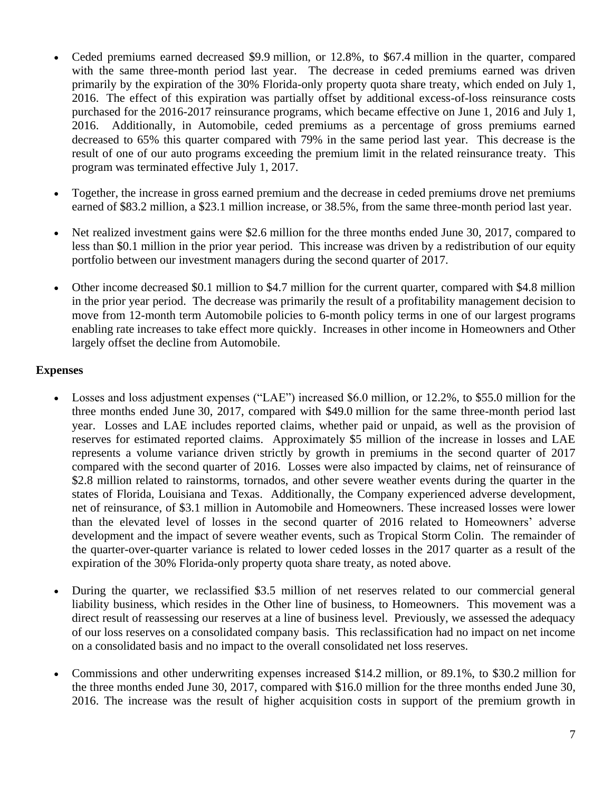- Ceded premiums earned decreased \$9.9 million, or 12.8%, to \$67.4 million in the quarter, compared with the same three-month period last year. The decrease in ceded premiums earned was driven primarily by the expiration of the 30% Florida-only property quota share treaty, which ended on July 1, 2016. The effect of this expiration was partially offset by additional excess-of-loss reinsurance costs purchased for the 2016-2017 reinsurance programs, which became effective on June 1, 2016 and July 1, 2016. Additionally, in Automobile, ceded premiums as a percentage of gross premiums earned decreased to 65% this quarter compared with 79% in the same period last year. This decrease is the result of one of our auto programs exceeding the premium limit in the related reinsurance treaty. This program was terminated effective July 1, 2017.
- Together, the increase in gross earned premium and the decrease in ceded premiums drove net premiums earned of \$83.2 million, a \$23.1 million increase, or 38.5%, from the same three-month period last year.
- Net realized investment gains were \$2.6 million for the three months ended June 30, 2017, compared to less than \$0.1 million in the prior year period. This increase was driven by a redistribution of our equity portfolio between our investment managers during the second quarter of 2017.
- Other income decreased \$0.1 million to \$4.7 million for the current quarter, compared with \$4.8 million in the prior year period. The decrease was primarily the result of a profitability management decision to move from 12-month term Automobile policies to 6-month policy terms in one of our largest programs enabling rate increases to take effect more quickly. Increases in other income in Homeowners and Other largely offset the decline from Automobile.

## **Expenses**

- Losses and loss adjustment expenses ("LAE") increased \$6.0 million, or 12.2%, to \$55.0 million for the three months ended June 30, 2017, compared with \$49.0 million for the same three-month period last year. Losses and LAE includes reported claims, whether paid or unpaid, as well as the provision of reserves for estimated reported claims. Approximately \$5 million of the increase in losses and LAE represents a volume variance driven strictly by growth in premiums in the second quarter of 2017 compared with the second quarter of 2016. Losses were also impacted by claims, net of reinsurance of \$2.8 million related to rainstorms, tornados, and other severe weather events during the quarter in the states of Florida, Louisiana and Texas. Additionally, the Company experienced adverse development, net of reinsurance, of \$3.1 million in Automobile and Homeowners. These increased losses were lower than the elevated level of losses in the second quarter of 2016 related to Homeowners' adverse development and the impact of severe weather events, such as Tropical Storm Colin. The remainder of the quarter-over-quarter variance is related to lower ceded losses in the 2017 quarter as a result of the expiration of the 30% Florida-only property quota share treaty, as noted above.
- During the quarter, we reclassified \$3.5 million of net reserves related to our commercial general liability business, which resides in the Other line of business, to Homeowners. This movement was a direct result of reassessing our reserves at a line of business level. Previously, we assessed the adequacy of our loss reserves on a consolidated company basis. This reclassification had no impact on net income on a consolidated basis and no impact to the overall consolidated net loss reserves.
- Commissions and other underwriting expenses increased \$14.2 million, or 89.1%, to \$30.2 million for the three months ended June 30, 2017, compared with \$16.0 million for the three months ended June 30, 2016. The increase was the result of higher acquisition costs in support of the premium growth in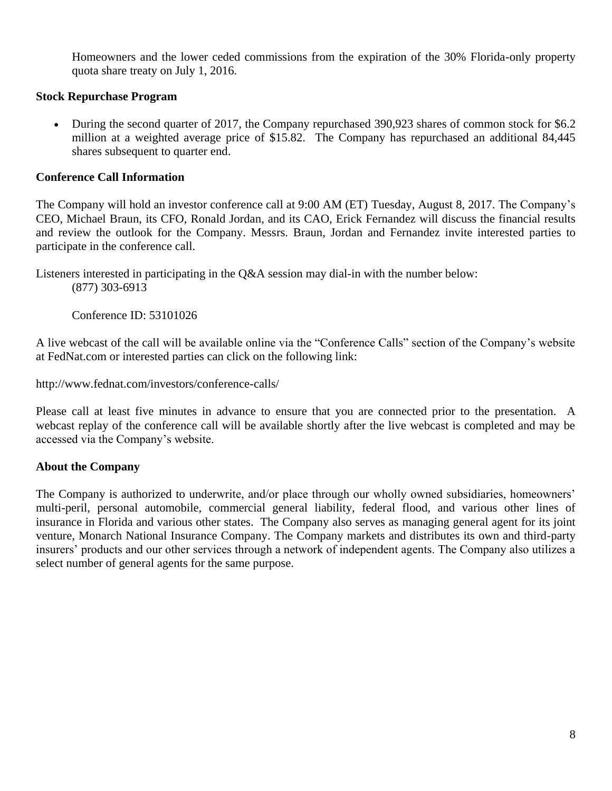Homeowners and the lower ceded commissions from the expiration of the 30% Florida-only property quota share treaty on July 1, 2016.

## **Stock Repurchase Program**

 During the second quarter of 2017, the Company repurchased 390,923 shares of common stock for \$6.2 million at a weighted average price of \$15.82. The Company has repurchased an additional 84,445 shares subsequent to quarter end.

#### **Conference Call Information**

The Company will hold an investor conference call at 9:00 AM (ET) Tuesday, August 8, 2017. The Company's CEO, Michael Braun, its CFO, Ronald Jordan, and its CAO, Erick Fernandez will discuss the financial results and review the outlook for the Company. Messrs. Braun, Jordan and Fernandez invite interested parties to participate in the conference call.

Listeners interested in participating in the Q&A session may dial-in with the number below: (877) 303-6913

Conference ID: 53101026

A live webcast of the call will be available online via the "Conference Calls" section of the Company's website at FedNat.com or interested parties can click on the following link:

http://www.fednat.com/investors/conference-calls/

Please call at least five minutes in advance to ensure that you are connected prior to the presentation. A webcast replay of the conference call will be available shortly after the live webcast is completed and may be accessed via the Company's website.

### **About the Company**

The Company is authorized to underwrite, and/or place through our wholly owned subsidiaries, homeowners' multi-peril, personal automobile, commercial general liability, federal flood, and various other lines of insurance in Florida and various other states. The Company also serves as managing general agent for its joint venture, Monarch National Insurance Company. The Company markets and distributes its own and third-party insurers' products and our other services through a network of independent agents. The Company also utilizes a select number of general agents for the same purpose.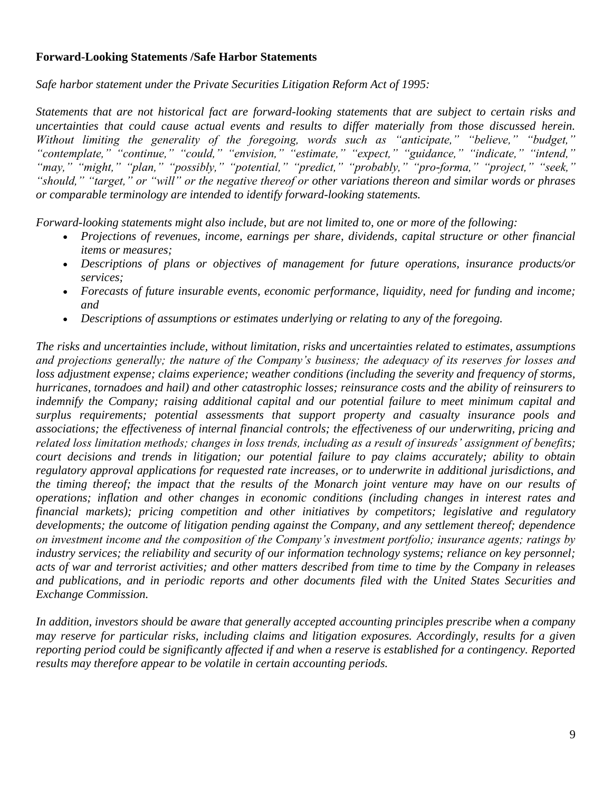#### **Forward-Looking Statements /Safe Harbor Statements**

*Safe harbor statement under the Private Securities Litigation Reform Act of 1995:*

*Statements that are not historical fact are forward-looking statements that are subject to certain risks and uncertainties that could cause actual events and results to differ materially from those discussed herein. Without limiting the generality of the foregoing, words such as "anticipate," "believe," "budget," "contemplate," "continue," "could," "envision," "estimate," "expect," "guidance," "indicate," "intend," "may," "might," "plan," "possibly," "potential," "predict," "probably," "pro-forma," "project," "seek," "should," "target," or "will" or the negative thereof or other variations thereon and similar words or phrases or comparable terminology are intended to identify forward-looking statements.*

*Forward-looking statements might also include, but are not limited to, one or more of the following:*

- *Projections of revenues, income, earnings per share, dividends, capital structure or other financial items or measures;*
- *Descriptions of plans or objectives of management for future operations, insurance products/or services;*
- *Forecasts of future insurable events, economic performance, liquidity, need for funding and income; and*
- *Descriptions of assumptions or estimates underlying or relating to any of the foregoing.*

*The risks and uncertainties include, without limitation, risks and uncertainties related to estimates, assumptions and projections generally; the nature of the Company's business; the adequacy of its reserves for losses and loss adjustment expense; claims experience; weather conditions (including the severity and frequency of storms, hurricanes, tornadoes and hail) and other catastrophic losses; reinsurance costs and the ability of reinsurers to indemnify the Company; raising additional capital and our potential failure to meet minimum capital and surplus requirements; potential assessments that support property and casualty insurance pools and associations; the effectiveness of internal financial controls; the effectiveness of our underwriting, pricing and related loss limitation methods; changes in loss trends, including as a result of insureds' assignment of benefits; court decisions and trends in litigation; our potential failure to pay claims accurately; ability to obtain regulatory approval applications for requested rate increases, or to underwrite in additional jurisdictions, and the timing thereof; the impact that the results of the Monarch joint venture may have on our results of operations; inflation and other changes in economic conditions (including changes in interest rates and financial markets); pricing competition and other initiatives by competitors; legislative and regulatory developments; the outcome of litigation pending against the Company, and any settlement thereof; dependence on investment income and the composition of the Company's investment portfolio; insurance agents; ratings by industry services; the reliability and security of our information technology systems; reliance on key personnel; acts of war and terrorist activities; and other matters described from time to time by the Company in releases and publications, and in periodic reports and other documents filed with the United States Securities and Exchange Commission.*

*In addition, investors should be aware that generally accepted accounting principles prescribe when a company may reserve for particular risks, including claims and litigation exposures. Accordingly, results for a given reporting period could be significantly affected if and when a reserve is established for a contingency. Reported results may therefore appear to be volatile in certain accounting periods.*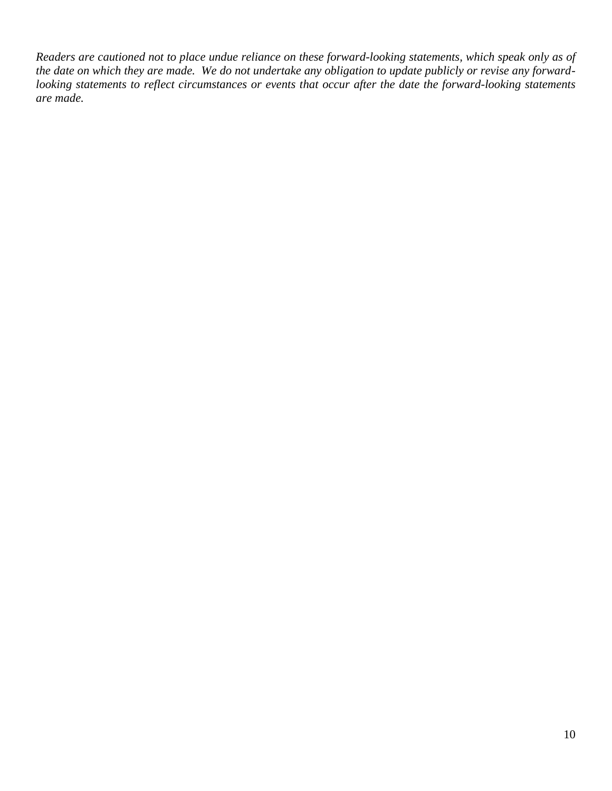*Readers are cautioned not to place undue reliance on these forward-looking statements, which speak only as of the date on which they are made. We do not undertake any obligation to update publicly or revise any forwardlooking statements to reflect circumstances or events that occur after the date the forward-looking statements are made.*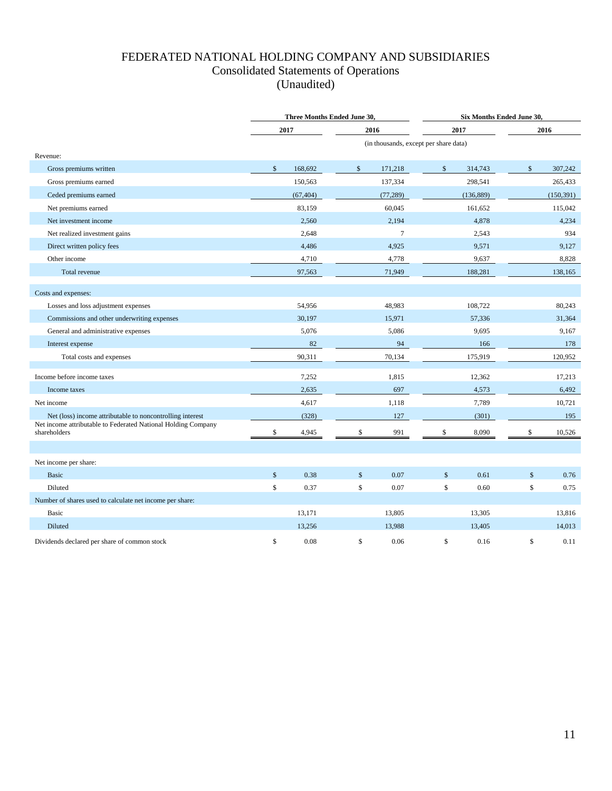## FEDERATED NATIONAL HOLDING COMPANY AND SUBSIDIARIES Consolidated Statements of Operations (Unaudited)

|                                                                               |              | Three Months Ended June 30, |              |                                       |               |            | Six Months Ended June 30, |            |  |  |
|-------------------------------------------------------------------------------|--------------|-----------------------------|--------------|---------------------------------------|---------------|------------|---------------------------|------------|--|--|
|                                                                               |              | 2017                        |              | 2016                                  |               | 2017       |                           | 2016       |  |  |
|                                                                               |              |                             |              | (in thousands, except per share data) |               |            |                           |            |  |  |
| Revenue:                                                                      |              |                             |              |                                       |               |            |                           |            |  |  |
| Gross premiums written                                                        | $\mathbb{S}$ | 168,692                     | \$           | 171,218                               | $\mathcal{S}$ | 314,743    | $\mathcal{S}$             | 307,242    |  |  |
| Gross premiums earned                                                         |              | 150,563                     |              | 137,334                               |               | 298,541    |                           | 265,433    |  |  |
| Ceded premiums earned                                                         |              | (67, 404)                   |              | (77, 289)                             |               | (136, 889) |                           | (150, 391) |  |  |
| Net premiums earned                                                           |              | 83,159                      |              | 60,045                                |               | 161,652    |                           | 115,042    |  |  |
| Net investment income                                                         |              | 2,560                       |              | 2,194                                 |               | 4,878      |                           | 4,234      |  |  |
| Net realized investment gains                                                 |              | 2,648                       |              | $\tau$                                |               | 2,543      |                           | 934        |  |  |
| Direct written policy fees                                                    |              | 4,486                       |              | 4,925                                 |               | 9,571      |                           | 9,127      |  |  |
| Other income                                                                  |              | 4,710                       |              | 4,778                                 |               | 9,637      |                           | 8,828      |  |  |
| Total revenue                                                                 |              | 97,563                      |              | 71,949                                |               | 188,281    |                           | 138,165    |  |  |
|                                                                               |              |                             |              |                                       |               |            |                           |            |  |  |
| Costs and expenses:                                                           |              |                             |              |                                       |               |            |                           |            |  |  |
| Losses and loss adjustment expenses                                           |              | 54,956                      |              | 48,983                                |               | 108,722    |                           | 80.243     |  |  |
| Commissions and other underwriting expenses                                   |              | 30,197                      |              | 15,971                                |               | 57,336     |                           | 31,364     |  |  |
| General and administrative expenses                                           |              | 5,076                       |              | 5,086                                 |               | 9,695      |                           | 9,167      |  |  |
| Interest expense                                                              |              | 82                          |              | 94                                    |               | 166        |                           | 178        |  |  |
| Total costs and expenses                                                      |              | 90,311                      |              | 70,134                                |               | 175,919    |                           | 120,952    |  |  |
| Income before income taxes                                                    |              | 7,252                       |              | 1.815                                 |               | 12,362     |                           | 17,213     |  |  |
| Income taxes                                                                  |              | 2,635                       |              | 697                                   |               | 4,573      |                           | 6,492      |  |  |
| Net income                                                                    |              | 4,617                       |              | 1,118                                 |               | 7,789      |                           | 10,721     |  |  |
| Net (loss) income attributable to noncontrolling interest                     |              | (328)                       |              | 127                                   |               | (301)      |                           | 195        |  |  |
| Net income attributable to Federated National Holding Company<br>shareholders |              | 4,945                       |              | 991                                   |               | 8,090      |                           | 10,526     |  |  |
|                                                                               |              |                             |              |                                       |               |            |                           |            |  |  |
| Net income per share:                                                         |              |                             |              |                                       |               |            |                           |            |  |  |
| <b>Basic</b>                                                                  | $\mathbb{S}$ | 0.38                        | $\mathbb{S}$ | 0.07                                  | $\mathcal{S}$ | 0.61       | $\mathbb{S}$              | 0.76       |  |  |
| Diluted                                                                       | \$           | 0.37                        | \$           | 0.07                                  | $\mathbb{S}$  | 0.60       | \$                        | 0.75       |  |  |
| Number of shares used to calculate net income per share:                      |              |                             |              |                                       |               |            |                           |            |  |  |
| Basic                                                                         |              | 13,171                      |              | 13,805                                |               | 13,305     |                           | 13,816     |  |  |
| Diluted                                                                       |              | 13,256                      |              | 13,988                                |               | 13,405     |                           | 14,013     |  |  |
| Dividends declared per share of common stock                                  | \$           | 0.08                        | \$           | 0.06                                  | \$            | 0.16       | \$                        | 0.11       |  |  |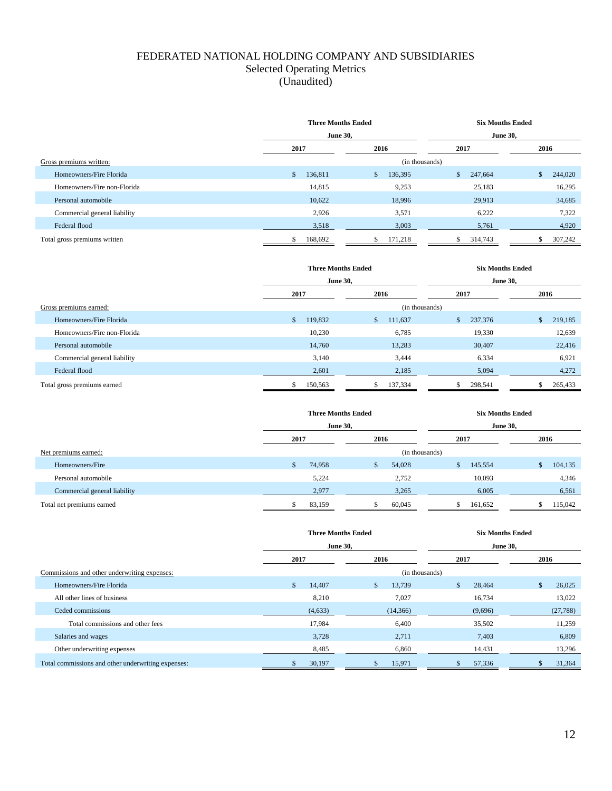#### FEDERATED NATIONAL HOLDING COMPANY AND SUBSIDIARIES Selected Operating Metrics (Unaudited)

|                              | <b>Three Months Ended</b><br><b>June 30,</b> |                | <b>Six Months Ended</b><br><b>June 30,</b> |                         |  |  |  |
|------------------------------|----------------------------------------------|----------------|--------------------------------------------|-------------------------|--|--|--|
|                              | 2017                                         | 2016           | 2017                                       | 2016                    |  |  |  |
| Gross premiums written:      |                                              | (in thousands) |                                            |                         |  |  |  |
| Homeowners/Fire Florida      | $\mathcal{S}$<br>136,811                     | 136,395<br>\$  | 247,664<br>\$.                             | 244,020<br>$\mathbb{S}$ |  |  |  |
| Homeowners/Fire non-Florida  | 14,815                                       | 9,253          | 25,183                                     | 16,295                  |  |  |  |
| Personal automobile          | 10,622                                       | 18,996         | 29,913                                     | 34,685                  |  |  |  |
| Commercial general liability | 2,926                                        | 3,571          | 6,222                                      | 7,322                   |  |  |  |
| Federal flood                | 3,518                                        | 3,003          | 5,761                                      | 4,920                   |  |  |  |
| Total gross premiums written | 168,692<br>\$                                | 171,218<br>S.  | 314,743<br>Ж.                              | 307.242<br>\$           |  |  |  |

|                              | <b>Three Months Ended</b> |                | <b>Six Months Ended</b>   |                         |  |  |  |
|------------------------------|---------------------------|----------------|---------------------------|-------------------------|--|--|--|
|                              | <b>June 30,</b>           |                | <b>June 30,</b>           |                         |  |  |  |
|                              | 2017                      | 2016           | 2017                      | 2016                    |  |  |  |
| Gross premiums earned:       |                           | (in thousands) |                           |                         |  |  |  |
| Homeowners/Fire Florida      | $\mathbb{S}$<br>119,832   | 111,637<br>\$  | 237,376<br>$\mathbb{S}^-$ | 219,185<br>$\mathbb{S}$ |  |  |  |
| Homeowners/Fire non-Florida  | 10,230                    | 6,785          | 19,330                    | 12,639                  |  |  |  |
| Personal automobile          | 14,760                    | 13,283         | 30,407                    | 22,416                  |  |  |  |
| Commercial general liability | 3,140                     | 3,444          | 6,334                     | 6,921                   |  |  |  |
| Federal flood                | 2,601                     | 2,185          | 5,094                     | 4,272                   |  |  |  |
| Total gross premiums earned  | 150,563<br>Эň,            | 137,334<br>£.  | 298,541                   | 265,433<br>S            |  |  |  |

|                              | <b>Three Months Ended</b> |                | <b>Six Months Ended</b>  |              |  |  |  |  |
|------------------------------|---------------------------|----------------|--------------------------|--------------|--|--|--|--|
|                              | <b>June 30,</b>           |                | <b>June 30,</b>          |              |  |  |  |  |
|                              | 2017                      | 2016           | 2017                     | 2016         |  |  |  |  |
| Net premiums earned:         |                           | (in thousands) |                          |              |  |  |  |  |
| Homeowners/Fire              | 74,958<br>\$              | 54,028<br>S    | 145,554<br>$\mathcal{L}$ | 104,135<br>S |  |  |  |  |
| Personal automobile          | 5,224                     | 2,752          | 10,093                   | 4,346        |  |  |  |  |
| Commercial general liability | 2,977                     | 3,265          | 6,005                    | 6,561        |  |  |  |  |
| Total net premiums earned    | 83,159                    | 60,045         | 161,652                  | 115,042<br>P |  |  |  |  |

|                                                    |                        | <b>Three Months Ended</b> |                | <b>Six Months Ended</b> |                 |      |           |  |  |
|----------------------------------------------------|------------------------|---------------------------|----------------|-------------------------|-----------------|------|-----------|--|--|
|                                                    |                        | <b>June 30,</b>           |                |                         | <b>June 30,</b> |      |           |  |  |
|                                                    | 2017                   | 2016                      |                | 2017                    |                 | 2016 |           |  |  |
| Commissions and other underwriting expenses:       |                        |                           | (in thousands) |                         |                 |      |           |  |  |
| Homeowners/Fire Florida                            | $\mathbb{S}$<br>14,407 | $\mathbb{S}$              | 13,739         | <sup>\$</sup>           | 28,464          | S    | 26,025    |  |  |
| All other lines of business                        | 8,210                  |                           | 7,027          |                         | 16,734          |      | 13,022    |  |  |
| Ceded commissions                                  | (4,633)                |                           | (14, 366)      |                         | (9,696)         |      | (27, 788) |  |  |
| Total commissions and other fees                   | 17,984                 |                           | 6,400          |                         | 35,502          |      | 11,259    |  |  |
| Salaries and wages                                 | 3,728                  |                           | 2,711          |                         | 7,403           |      | 6,809     |  |  |
| Other underwriting expenses                        | 8,485                  |                           | 6,860          |                         | 14,431          |      | 13,296    |  |  |
| Total commissions and other underwriting expenses: | 30,197<br>ж.           | \$                        | 15,971         |                         | 57,336          |      | 31,364    |  |  |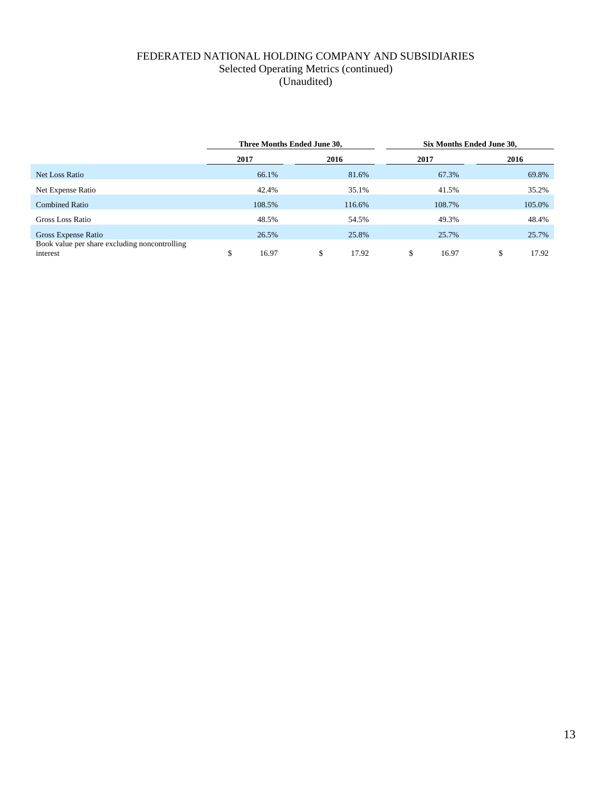#### FEDERATED NATIONAL HOLDING COMPANY AND SUBSIDIARIES Selected Operating Metrics (continued) (Unaudited)

|                                                           |      | Three Months Ended June 30, |      |        | Six Months Ended June 30, |        |      |        |  |
|-----------------------------------------------------------|------|-----------------------------|------|--------|---------------------------|--------|------|--------|--|
|                                                           | 2017 |                             | 2016 |        | 2017                      |        | 2016 |        |  |
| Net Loss Ratio                                            |      | 66.1%                       |      | 81.6%  |                           | 67.3%  |      | 69.8%  |  |
| Net Expense Ratio                                         |      | 42.4%                       |      | 35.1%  |                           | 41.5%  |      | 35.2%  |  |
| <b>Combined Ratio</b>                                     |      | 108.5%                      |      | 116.6% |                           | 108.7% |      | 105.0% |  |
| Gross Loss Ratio                                          |      | 48.5%                       |      | 54.5%  |                           | 49.3%  |      | 48.4%  |  |
| Gross Expense Ratio                                       |      | 26.5%                       |      | 25.8%  |                           | 25.7%  |      | 25.7%  |  |
| Book value per share excluding noncontrolling<br>interest |      | 16.97                       | S    | 17.92  | J.                        | 16.97  |      | 17.92  |  |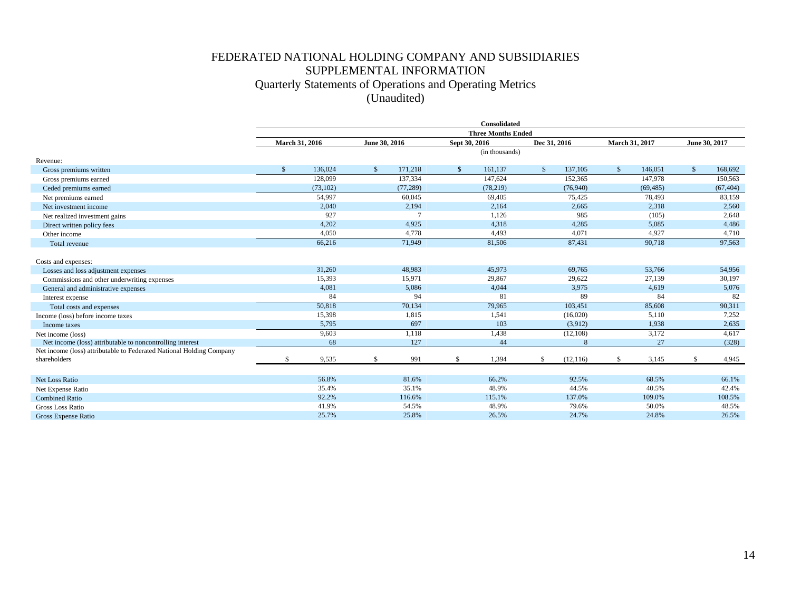## FEDERATED NATIONAL HOLDING COMPANY AND SUBSIDIARIES SUPPLEMENTAL INFORMATION Quarterly Statements of Operations and Operating Metrics (Unaudited)

|                                                                      | Consolidated   |           |               |           |               |                           |               |           |               |                |               |           |
|----------------------------------------------------------------------|----------------|-----------|---------------|-----------|---------------|---------------------------|---------------|-----------|---------------|----------------|---------------|-----------|
|                                                                      |                |           |               |           |               | <b>Three Months Ended</b> |               |           |               |                |               |           |
|                                                                      | March 31, 2016 |           | June 30, 2016 |           | Sept 30, 2016 |                           | Dec 31, 2016  |           |               | March 31, 2017 | June 30, 2017 |           |
|                                                                      |                |           |               |           |               | (in thousands)            |               |           |               |                |               |           |
| Revenue:                                                             |                |           |               |           |               |                           |               |           |               |                |               |           |
| Gross premiums written                                               | \$             | 136,024   | \$            | 171,218   | $\mathbb{S}$  | 161,137                   | $\mathbf{\$}$ | 137,105   | $\mathcal{S}$ | 146,051        | $\mathcal{S}$ | 168,692   |
| Gross premiums earned                                                |                | 128,099   |               | 137.334   |               | 147,624                   |               | 152,365   |               | 147.978        |               | 150,563   |
| Ceded premiums earned                                                |                | (73, 102) |               | (77, 289) |               | (78, 219)                 |               | (76,940)  |               | (69, 485)      |               | (67, 404) |
| Net premiums earned                                                  |                | 54,997    |               | 60,045    |               | 69,405                    |               | 75,425    |               | 78,493         |               | 83,159    |
| Net investment income                                                |                | 2,040     |               | 2,194     |               | 2,164                     |               | 2,665     |               | 2,318          |               | 2,560     |
| Net realized investment gains                                        |                | 927       |               |           |               | 1,126                     |               | 985       |               | (105)          |               | 2,648     |
| Direct written policy fees                                           |                | 4,202     |               | 4,925     |               | 4,318                     |               | 4,285     |               | 5,085          |               | 4,486     |
| Other income                                                         |                | 4,050     |               | 4,778     |               | 4,493                     |               | 4,071     |               | 4,927          |               | 4,710     |
| Total revenue                                                        |                | 66,216    |               | 71,949    |               | 81,506                    |               | 87,431    |               | 90,718         |               | 97,563    |
|                                                                      |                |           |               |           |               |                           |               |           |               |                |               |           |
| Costs and expenses:                                                  |                |           |               |           |               |                           |               |           |               |                |               |           |
| Losses and loss adjustment expenses                                  |                | 31,260    |               | 48,983    |               | 45.973                    |               | 69.765    |               | 53,766         |               | 54,956    |
| Commissions and other underwriting expenses                          |                | 15,393    |               | 15,971    |               | 29,867                    |               | 29,622    |               | 27,139         |               | 30,197    |
| General and administrative expenses                                  |                | 4,081     |               | 5,086     |               | 4,044                     |               | 3,975     |               | 4,619          |               | 5,076     |
| Interest expense                                                     |                | 84        |               | 94        |               | 81                        |               | 89        |               | 84             |               | 82        |
| Total costs and expenses                                             |                | 50,818    |               | 70,134    |               | 79,965                    |               | 103,451   |               | 85,608         |               | 90,311    |
| Income (loss) before income taxes                                    |                | 15,398    |               | 1,815     |               | 1,541                     |               | (16,020)  |               | 5,110          |               | 7,252     |
| Income taxes                                                         |                | 5,795     |               | 697       |               | 103                       |               | (3,912)   |               | 1,938          |               | 2,635     |
| Net income (loss)                                                    |                | 9,603     |               | 1,118     |               | 1,438                     |               | (12,108)  |               | 3,172          |               | 4,617     |
| Net income (loss) attributable to noncontrolling interest            |                | 68        |               | 127       |               | 44                        |               |           |               | 27             |               | (328)     |
| Net income (loss) attributable to Federated National Holding Company |                |           |               |           |               |                           |               |           |               |                |               |           |
| shareholders                                                         |                | 9,535     |               | 991       | -S            | 1,394                     | \$.           | (12, 116) | -S            | 3,145          |               | 4,945     |
|                                                                      |                |           |               |           |               |                           |               |           |               |                |               |           |
| Net Loss Ratio                                                       |                | 56.8%     |               | 81.6%     |               | 66.2%                     |               | 92.5%     |               | 68.5%          |               | 66.1%     |
| Net Expense Ratio                                                    |                | 35.4%     |               | 35.1%     |               | 48.9%                     |               | 44.5%     |               | 40.5%          |               | 42.4%     |
| <b>Combined Ratio</b>                                                |                | 92.2%     |               | 116.6%    |               | 115.1%                    |               | 137.0%    |               | 109.0%         |               | 108.5%    |
| <b>Gross Loss Ratio</b>                                              |                | 41.9%     |               | 54.5%     |               | 48.9%                     |               | 79.6%     |               | 50.0%          |               | 48.5%     |
| <b>Gross Expense Ratio</b>                                           |                | 25.7%     |               | 25.8%     |               | 26.5%                     |               | 24.7%     |               | 24.8%          |               | 26.5%     |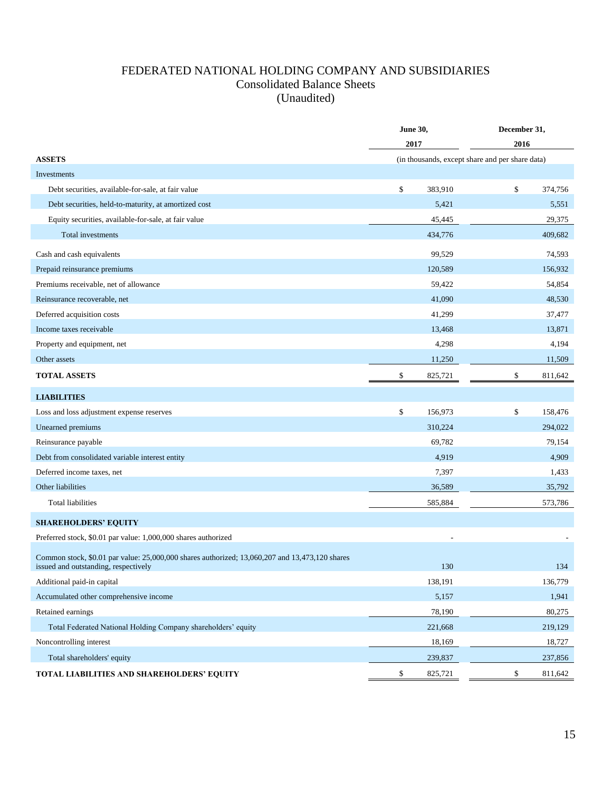## FEDERATED NATIONAL HOLDING COMPANY AND SUBSIDIARIES Consolidated Balance Sheets (Unaudited)

|                                                                                                                                        | June 30, |         | December 31,                                    |         |  |  |
|----------------------------------------------------------------------------------------------------------------------------------------|----------|---------|-------------------------------------------------|---------|--|--|
|                                                                                                                                        | 2017     |         | 2016                                            |         |  |  |
| <b>ASSETS</b>                                                                                                                          |          |         | (in thousands, except share and per share data) |         |  |  |
| Investments                                                                                                                            |          |         |                                                 |         |  |  |
| Debt securities, available-for-sale, at fair value                                                                                     | \$       | 383,910 | \$                                              | 374,756 |  |  |
| Debt securities, held-to-maturity, at amortized cost                                                                                   |          | 5,421   |                                                 | 5,551   |  |  |
| Equity securities, available-for-sale, at fair value                                                                                   |          | 45,445  |                                                 | 29,375  |  |  |
| Total investments                                                                                                                      |          | 434,776 |                                                 | 409,682 |  |  |
| Cash and cash equivalents                                                                                                              |          | 99,529  |                                                 | 74,593  |  |  |
| Prepaid reinsurance premiums                                                                                                           |          | 120,589 |                                                 | 156,932 |  |  |
| Premiums receivable, net of allowance                                                                                                  |          | 59,422  |                                                 | 54,854  |  |  |
| Reinsurance recoverable, net                                                                                                           |          | 41,090  |                                                 | 48,530  |  |  |
| Deferred acquisition costs                                                                                                             |          | 41,299  |                                                 | 37,477  |  |  |
| Income taxes receivable                                                                                                                |          | 13,468  |                                                 | 13,871  |  |  |
| Property and equipment, net                                                                                                            |          | 4,298   |                                                 | 4,194   |  |  |
| Other assets                                                                                                                           |          | 11,250  |                                                 | 11,509  |  |  |
| <b>TOTAL ASSETS</b>                                                                                                                    | \$       | 825,721 | \$                                              | 811,642 |  |  |
| <b>LIABILITIES</b>                                                                                                                     |          |         |                                                 |         |  |  |
| Loss and loss adjustment expense reserves                                                                                              | \$       | 156,973 | \$                                              | 158.476 |  |  |
| Unearned premiums                                                                                                                      |          | 310,224 |                                                 | 294,022 |  |  |
| Reinsurance payable                                                                                                                    |          | 69,782  |                                                 | 79,154  |  |  |
| Debt from consolidated variable interest entity                                                                                        |          | 4,919   |                                                 | 4,909   |  |  |
| Deferred income taxes, net                                                                                                             |          | 7,397   |                                                 | 1,433   |  |  |
| Other liabilities                                                                                                                      |          | 36,589  |                                                 | 35,792  |  |  |
| <b>Total liabilities</b>                                                                                                               |          | 585,884 |                                                 | 573,786 |  |  |
| <b>SHAREHOLDERS' EQUITY</b>                                                                                                            |          |         |                                                 |         |  |  |
| Preferred stock, \$0.01 par value: 1,000,000 shares authorized                                                                         |          |         |                                                 |         |  |  |
| Common stock, \$0.01 par value: 25,000,000 shares authorized; 13,060,207 and 13,473,120 shares<br>issued and outstanding, respectively |          | 130     |                                                 | 134     |  |  |
| Additional paid-in capital                                                                                                             |          | 138,191 |                                                 | 136,779 |  |  |
| Accumulated other comprehensive income                                                                                                 |          | 5,157   |                                                 | 1,941   |  |  |
| Retained earnings                                                                                                                      |          | 78,190  |                                                 | 80,275  |  |  |
| Total Federated National Holding Company shareholders' equity                                                                          |          | 221,668 |                                                 | 219,129 |  |  |
| Noncontrolling interest                                                                                                                |          | 18,169  |                                                 | 18,727  |  |  |
| Total shareholders' equity                                                                                                             |          | 239,837 |                                                 | 237,856 |  |  |
| TOTAL LIABILITIES AND SHAREHOLDERS' EQUITY                                                                                             | \$       | 825,721 | \$                                              | 811,642 |  |  |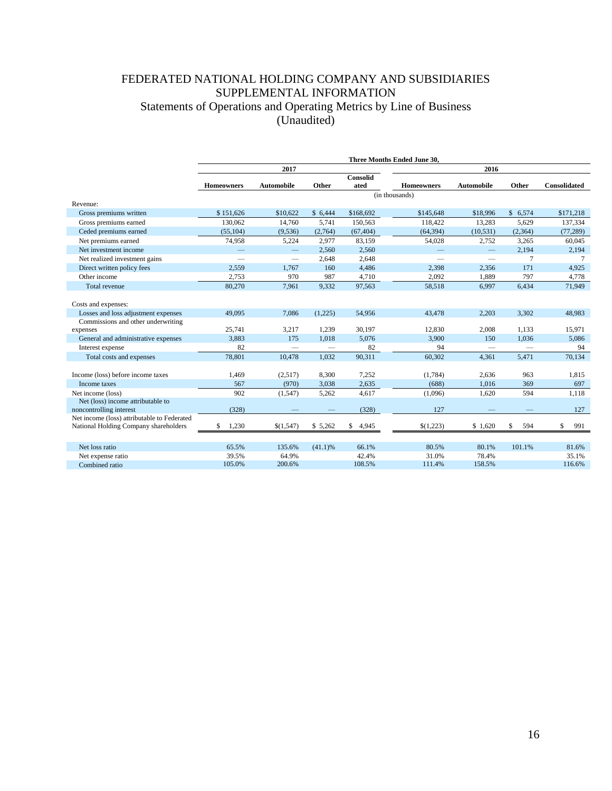## FEDERATED NATIONAL HOLDING COMPANY AND SUBSIDIARIES SUPPLEMENTAL INFORMATION Statements of Operations and Operating Metrics by Line of Business (Unaudited)

|                                             | Three Months Ended June 30, |                   |         |                 |                   |                          |                |                     |  |  |  |
|---------------------------------------------|-----------------------------|-------------------|---------|-----------------|-------------------|--------------------------|----------------|---------------------|--|--|--|
|                                             |                             | 2017              |         |                 |                   | 2016                     |                |                     |  |  |  |
|                                             |                             |                   |         | <b>Consolid</b> |                   |                          |                |                     |  |  |  |
|                                             | <b>Homeowners</b>           | <b>Automobile</b> | Other   | ated            | <b>Homeowners</b> | <b>Automobile</b>        | Other          | <b>Consolidated</b> |  |  |  |
|                                             |                             |                   |         |                 | (in thousands)    |                          |                |                     |  |  |  |
| Revenue:                                    |                             |                   |         |                 |                   |                          |                |                     |  |  |  |
| Gross premiums written                      | \$151,626                   | \$10,622          | \$6,444 | \$168,692       | \$145,648         | \$18,996                 | \$6,574        | \$171,218           |  |  |  |
| Gross premiums earned                       | 130,062                     | 14,760            | 5,741   | 150,563         | 118,422           | 13,283                   | 5,629          | 137,334             |  |  |  |
| Ceded premiums earned                       | (55, 104)                   | (9,536)           | (2,764) | (67, 404)       | (64, 394)         | (10, 531)                | (2, 364)       | (77, 289)           |  |  |  |
| Net premiums earned                         | 74,958                      | 5,224             | 2,977   | 83,159          | 54,028            | 2,752                    | 3,265          | 60,045              |  |  |  |
| Net investment income                       |                             | $\qquad \qquad -$ | 2,560   | 2,560           |                   | $\equiv$                 | 2,194          | 2,194               |  |  |  |
| Net realized investment gains               |                             |                   | 2,648   | 2,648           |                   | $\overline{\phantom{0}}$ | $\overline{7}$ | $\tau$              |  |  |  |
| Direct written policy fees                  | 2,559                       | 1,767             | 160     | 4,486           | 2,398             | 2,356                    | 171            | 4,925               |  |  |  |
| Other income                                | 2,753                       | 970               | 987     | 4,710           | 2,092             | 1,889                    | 797            | 4,778               |  |  |  |
| Total revenue                               | 80,270                      | 7,961             | 9,332   | 97,563          | 58,518            | 6,997                    | 6,434          | 71,949              |  |  |  |
|                                             |                             |                   |         |                 |                   |                          |                |                     |  |  |  |
| Costs and expenses:                         |                             |                   |         |                 |                   |                          |                |                     |  |  |  |
| Losses and loss adjustment expenses         | 49,095                      | 7,086             | (1,225) | 54,956          | 43,478            | 2,203                    | 3,302          | 48,983              |  |  |  |
| Commissions and other underwriting          |                             |                   |         |                 |                   |                          |                |                     |  |  |  |
| expenses                                    | 25,741                      | 3,217             | 1,239   | 30,197          | 12,830            | 2,008                    | 1,133          | 15,971              |  |  |  |
| General and administrative expenses         | 3,883                       | 175               | 1,018   | 5,076           | 3,900             | 150                      | 1,036          | 5,086               |  |  |  |
| Interest expense                            | 82                          | $\qquad \qquad$   |         | 82              | 94                |                          |                | 94                  |  |  |  |
| Total costs and expenses                    | 78,801                      | 10,478            | 1,032   | 90,311          | 60,302            | 4,361                    | 5,471          | 70,134              |  |  |  |
|                                             |                             |                   |         |                 |                   |                          |                |                     |  |  |  |
| Income (loss) before income taxes           | 1,469                       | (2,517)           | 8,300   | 7,252           | (1,784)           | 2,636                    | 963            | 1,815               |  |  |  |
| Income taxes                                | 567                         | (970)             | 3,038   | 2,635           | (688)             | 1,016                    | 369            | 697                 |  |  |  |
| Net income (loss)                           | 902                         | (1,547)           | 5,262   | 4,617           | (1,096)           | 1,620                    | 594            | 1.118               |  |  |  |
| Net (loss) income attributable to           |                             |                   |         |                 |                   |                          |                |                     |  |  |  |
| noncontrolling interest                     | (328)                       |                   |         | (328)           | 127               |                          |                | 127                 |  |  |  |
| Net income (loss) attributable to Federated |                             |                   |         |                 |                   |                          |                |                     |  |  |  |
| National Holding Company shareholders       | 1,230                       | \$(1,547)         | \$5,262 | \$<br>4,945     | \$(1,223)         | \$1,620                  | \$<br>594      | \$<br>991           |  |  |  |
|                                             |                             |                   |         |                 |                   |                          |                |                     |  |  |  |
| Net loss ratio                              | 65.5%                       | 135.6%            | (41.1)% | 66.1%           | 80.5%             | 80.1%                    | 101.1%         | 81.6%               |  |  |  |
| Net expense ratio                           | 39.5%                       | 64.9%             |         | 42.4%           | 31.0%             | 78.4%                    |                | 35.1%               |  |  |  |
| Combined ratio                              | 105.0%                      | 200.6%            |         | 108.5%          | 111.4%            | 158.5%                   |                | 116.6%              |  |  |  |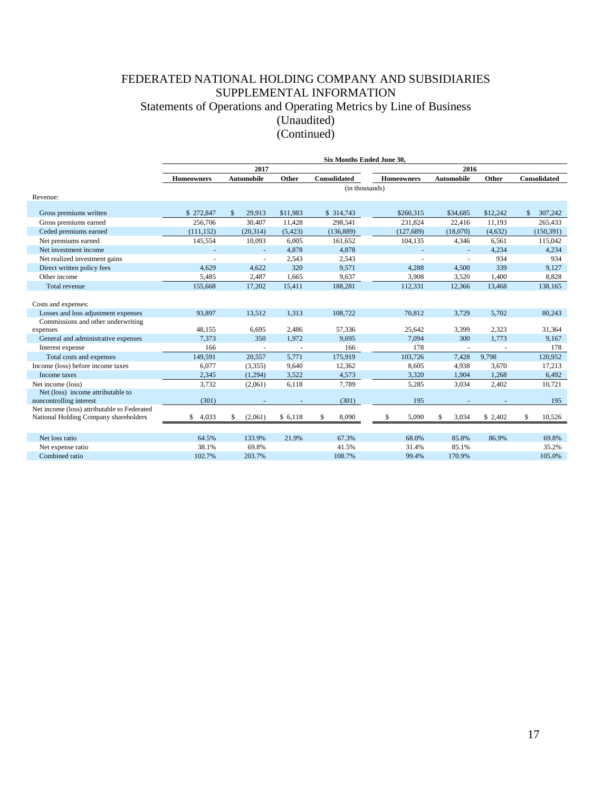### FEDERATED NATIONAL HOLDING COMPANY AND SUBSIDIARIES SUPPLEMENTAL INFORMATION Statements of Operations and Operating Metrics by Line of Business (Unaudited) (Continued)

|                                             | <b>Six Months Ended June 30.</b> |                        |          |                     |                   |                   |          |                         |  |  |  |
|---------------------------------------------|----------------------------------|------------------------|----------|---------------------|-------------------|-------------------|----------|-------------------------|--|--|--|
|                                             |                                  | 2017                   |          |                     |                   |                   | 2016     |                         |  |  |  |
|                                             | <b>Homeowners</b>                | <b>Automobile</b>      | Other    | <b>Consolidated</b> | <b>Homeowners</b> | <b>Automobile</b> | Other    | Consolidated            |  |  |  |
|                                             |                                  |                        |          |                     | (in thousands)    |                   |          |                         |  |  |  |
| Revenue:                                    |                                  |                        |          |                     |                   |                   |          |                         |  |  |  |
| Gross premiums written                      | \$272,847                        | $\mathbb{S}$<br>29.913 | \$11,983 | \$ 314,743          | \$260,315         | \$34,685          | \$12,242 | 307,242<br>$\mathbf{s}$ |  |  |  |
| Gross premiums earned                       | 256,706                          | 30,407                 | 11,428   | 298,541             | 231,824           | 22,416            | 11,193   | 265,433                 |  |  |  |
| Ceded premiums earned                       | (111, 152)                       | (20, 314)              | (5, 423) | (136, 889)          | (127, 689)        | (18,070)          | (4,632)  | (150, 391)              |  |  |  |
| Net premiums earned                         | 145,554                          | 10,093                 | 6.005    | 161.652             | 104,135           | 4,346             | 6,561    | 115,042                 |  |  |  |
| Net investment income                       |                                  | $\sim$                 | 4,878    | 4,878               |                   |                   | 4,234    | 4,234                   |  |  |  |
| Net realized investment gains               |                                  |                        | 2,543    | 2,543               |                   |                   | 934      | 934                     |  |  |  |
| Direct written policy fees                  | 4,629                            | 4,622                  | 320      | 9,571               | 4,288             | 4,500             | 339      | 9,127                   |  |  |  |
| Other income                                | 5,485                            | 2,487                  | 1,665    | 9,637               | 3,908             | 3,520             | 1,400    | 8,828                   |  |  |  |
| Total revenue                               | 155,668                          | 17,202                 | 15,411   | 188,281             | 112,331           | 12,366            | 13,468   | 138,165                 |  |  |  |
|                                             |                                  |                        |          |                     |                   |                   |          |                         |  |  |  |
| Costs and expenses:                         |                                  |                        |          |                     |                   |                   |          |                         |  |  |  |
| Losses and loss adjustment expenses         | 93,897                           | 13,512                 | 1,313    | 108,722             | 70,812            | 3,729             | 5,702    | 80,243                  |  |  |  |
| Commissions and other underwriting          |                                  |                        |          |                     |                   |                   |          |                         |  |  |  |
| expenses                                    | 48,155                           | 6,695                  | 2,486    | 57,336              | 25,642            | 3,399             | 2,323    | 31,364                  |  |  |  |
| General and administrative expenses         | 7,373                            | 350                    | 1,972    | 9.695               | 7,094             | 300               | 1.773    | 9,167                   |  |  |  |
| Interest expense                            | 166                              |                        |          | 166                 | 178               |                   |          | 178                     |  |  |  |
| Total costs and expenses                    | 149,591                          | 20,557                 | 5,771    | 175,919             | 103,726           | 7,428             | 9,798    | 120,952                 |  |  |  |
| Income (loss) before income taxes           | 6,077                            | (3,355)                | 9,640    | 12,362              | 8,605             | 4,938             | 3,670    | 17,213                  |  |  |  |
| Income taxes                                | 2,345                            | (1,294)                | 3,522    | 4,573               | 3,320             | 1,904             | 1,268    | 6,492                   |  |  |  |
| Net income (loss)                           | 3,732                            | (2,061)                | 6,118    | 7,789               | 5,285             | 3,034             | 2,402    | 10,721                  |  |  |  |
| Net (loss) income attributable to           |                                  |                        |          |                     |                   |                   |          |                         |  |  |  |
| noncontrolling interest                     | (301)                            |                        |          | (301)               | 195               |                   |          | 195                     |  |  |  |
| Net income (loss) attributable to Federated |                                  |                        |          |                     |                   |                   |          |                         |  |  |  |
| National Holding Company shareholders       | \$<br>4,033                      | (2,061)<br>S           | \$6,118  | \$<br>8,090         | 5,090<br>\$.      | 3,034<br>\$       | \$2,402  | S<br>10,526             |  |  |  |
|                                             |                                  |                        |          |                     |                   |                   |          |                         |  |  |  |
| Net loss ratio                              | 64.5%                            | 133.9%                 | 21.9%    | 67.3%               | 68.0%             | 85.8%             | 86.9%    | 69.8%                   |  |  |  |
| Net expense ratio                           | 38.1%                            | 69.8%                  |          | 41.5%               | 31.4%             | 85.1%             |          | 35.2%                   |  |  |  |
| Combined ratio                              | 102.7%                           | 203.7%                 |          | 108.7%              | 99.4%             | 170.9%            |          | 105.0%                  |  |  |  |
|                                             |                                  |                        |          |                     |                   |                   |          |                         |  |  |  |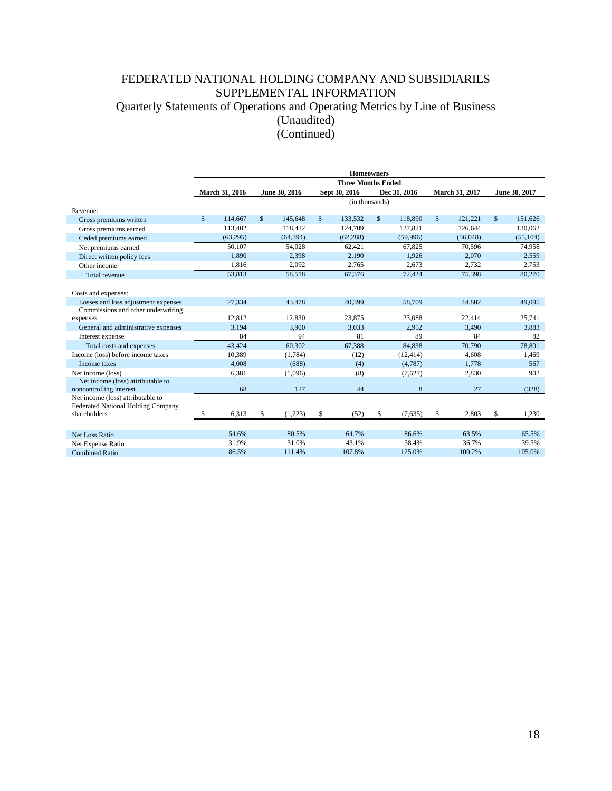## FEDERATED NATIONAL HOLDING COMPANY AND SUBSIDIARIES SUPPLEMENTAL INFORMATION Quarterly Statements of Operations and Operating Metrics by Line of Business (Unaudited) (Continued)

|                                                    |               | <b>Homeowners</b> |              |               |              |                           |              |              |              |                |               |               |  |
|----------------------------------------------------|---------------|-------------------|--------------|---------------|--------------|---------------------------|--------------|--------------|--------------|----------------|---------------|---------------|--|
|                                                    |               |                   |              |               |              | <b>Three Months Ended</b> |              |              |              |                |               |               |  |
|                                                    |               | March 31, 2016    |              | June 30, 2016 |              | Sept 30, 2016             |              | Dec 31, 2016 |              | March 31, 2017 |               | June 30, 2017 |  |
|                                                    |               |                   |              |               |              | (in thousands)            |              |              |              |                |               |               |  |
| Revenue:                                           |               |                   |              |               |              |                           |              |              |              |                |               |               |  |
| Gross premiums written                             | $\mathcal{S}$ | 114,667           | $\mathbb{S}$ | 145,648       | $\mathbb{S}$ | 133,532                   | $\mathbb{S}$ | 118,890      | $\mathbb{S}$ | 121,221        | $\mathcal{S}$ | 151,626       |  |
| Gross premiums earned                              |               | 113,402           |              | 118,422       |              | 124,709                   |              | 127,821      |              | 126,644        |               | 130,062       |  |
| Ceded premiums earned                              |               | (63,295)          |              | (64, 394)     |              | (62, 288)                 |              | (59,996)     |              | (56,048)       |               | (55, 104)     |  |
| Net premiums earned                                |               | 50,107            |              | 54,028        |              | 62,421                    |              | 67,825       |              | 70,596         |               | 74,958        |  |
| Direct written policy fees                         |               | 1,890             |              | 2,398         |              | 2,190                     |              | 1,926        |              | 2,070          |               | 2,559         |  |
| Other income                                       |               | 1,816             |              | 2,092         |              | 2,765                     |              | 2,673        |              | 2,732          |               | 2,753         |  |
| Total revenue                                      |               | 53,813            |              | 58,518        |              | 67,376                    |              | 72,424       |              | 75,398         |               | 80,270        |  |
|                                                    |               |                   |              |               |              |                           |              |              |              |                |               |               |  |
| Costs and expenses:                                |               |                   |              |               |              |                           |              |              |              |                |               |               |  |
| Losses and loss adjustment expenses                |               | 27,334            |              | 43,478        |              | 40,399                    |              | 58,709       |              | 44.802         |               | 49,095        |  |
| Commissions and other underwriting                 |               |                   |              |               |              |                           |              |              |              |                |               |               |  |
| expenses                                           |               | 12,812            |              | 12.830        |              | 23,875                    |              | 23,088       |              | 22,414         |               | 25,741        |  |
| General and administrative expenses                |               | 3,194             |              | 3.900         |              | 3,033                     |              | 2.952        |              | 3,490          |               | 3,883         |  |
| Interest expense                                   |               | 84                |              | 94            |              | 81                        |              | 89           |              | 84             |               | 82            |  |
| Total costs and expenses                           |               | 43,424            |              | 60,302        |              | 67,388                    |              | 84,838       |              | 70,790         |               | 78,801        |  |
| Income (loss) before income taxes                  |               | 10,389            |              | (1,784)       |              | (12)                      |              | (12, 414)    |              | 4,608          |               | 1,469         |  |
| Income taxes                                       |               | 4,008             |              | (688)         |              | (4)                       |              | (4,787)      |              | 1,778          |               | 567           |  |
| Net income (loss)                                  |               | 6,381             |              | (1,096)       |              | (8)                       |              | (7,627)      |              | 2,830          |               | 902           |  |
| Net income (loss) attributable to                  |               |                   |              |               |              |                           |              |              |              |                |               |               |  |
| noncontrolling interest                            |               | 68                |              | 127           |              | 44                        |              | $\,8\,$      |              | 27             |               | (328)         |  |
| Net income (loss) attributable to                  |               |                   |              |               |              |                           |              |              |              |                |               |               |  |
| Federated National Holding Company<br>shareholders | -S            | 6,313             | \$           | (1,223)       | \$           | (52)                      | S            | (7,635)      | \$           | 2,803          | S             | 1,230         |  |
|                                                    |               |                   |              |               |              |                           |              |              |              |                |               |               |  |
|                                                    |               |                   |              |               |              |                           |              |              |              |                |               |               |  |
| <b>Net Loss Ratio</b>                              |               | 54.6%             |              | 80.5%         |              | 64.7%                     |              | 86.6%        |              | 63.5%          |               | 65.5%         |  |
| Net Expense Ratio                                  |               | 31.9%             |              | 31.0%         |              | 43.1%                     |              | 38.4%        |              | 36.7%          |               | 39.5%         |  |
| <b>Combined Ratio</b>                              |               | 86.5%             |              | 111.4%        |              | 107.8%                    |              | 125.0%       |              | 100.2%         |               | 105.0%        |  |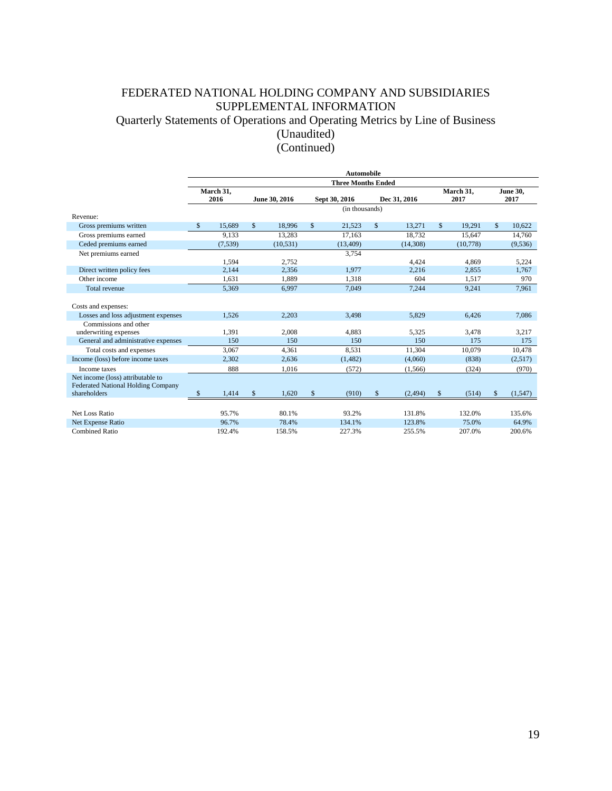### FEDERATED NATIONAL HOLDING COMPANY AND SUBSIDIARIES SUPPLEMENTAL INFORMATION Quarterly Statements of Operations and Operating Metrics by Line of Business (Unaudited) (Continued)

|                                           |    |                   |              |               |              | <b>Automobile</b>         |                |              |                   |              |                         |
|-------------------------------------------|----|-------------------|--------------|---------------|--------------|---------------------------|----------------|--------------|-------------------|--------------|-------------------------|
|                                           |    |                   |              |               |              | <b>Three Months Ended</b> |                |              |                   |              |                         |
|                                           |    | March 31,<br>2016 |              | June 30, 2016 |              | Sept 30, 2016             | Dec 31, 2016   |              | March 31,<br>2017 |              | <b>June 30,</b><br>2017 |
|                                           |    |                   |              |               |              | (in thousands)            |                |              |                   |              |                         |
| Revenue:                                  |    |                   |              |               |              |                           |                |              |                   |              |                         |
| Gross premiums written                    | \$ | 15.689            | $\mathbb{S}$ | 18.996        | $\mathbb{S}$ | 21.523                    | \$<br>13.271   | $\mathbb{S}$ | 19.291            | $\mathbb{S}$ | 10.622                  |
| Gross premiums earned                     |    | 9.133             |              | 13.283        |              | 17.163                    | 18.732         |              | 15.647            |              | 14.760                  |
| Ceded premiums earned                     |    | (7,539)           |              | (10, 531)     |              | (13, 409)                 | (14, 308)      |              | (10,778)          |              | (9,536)                 |
| Net premiums earned                       |    |                   |              |               |              | 3,754                     |                |              |                   |              |                         |
|                                           |    | 1.594             |              | 2.752         |              |                           | 4.424          |              | 4.869             |              | 5,224                   |
| Direct written policy fees                |    | 2,144             |              | 2,356         |              | 1,977                     | 2,216          |              | 2,855             |              | 1,767                   |
| Other income                              |    | 1,631             |              | 1,889         |              | 1,318                     | 604            |              | 1,517             |              | 970                     |
| Total revenue                             |    | 5,369             |              | 6,997         |              | 7.049                     | 7,244          |              | 9,241             |              | 7,961                   |
|                                           |    |                   |              |               |              |                           |                |              |                   |              |                         |
| Costs and expenses:                       |    |                   |              |               |              |                           |                |              |                   |              |                         |
| Losses and loss adjustment expenses       |    | 1,526             |              | 2,203         |              | 3.498                     | 5.829          |              | 6,426             |              | 7,086                   |
| Commissions and other                     |    |                   |              |               |              |                           |                |              |                   |              |                         |
| underwriting expenses                     |    | 1,391             |              | 2,008         |              | 4,883                     | 5.325          |              | 3,478             |              | 3,217                   |
| General and administrative expenses       |    | 150               |              | 150           |              | 150                       | 150            |              | 175               |              | 175                     |
| Total costs and expenses                  |    | 3,067             |              | 4,361         |              | 8,531                     | 11,304         |              | 10,079            |              | 10.478                  |
| Income (loss) before income taxes         |    | 2,302             |              | 2,636         |              | (1, 482)                  | (4,060)        |              | (838)             |              | (2,517)                 |
| Income taxes                              |    | 888               |              | 1.016         |              | (572)                     | (1, 566)       |              | (324)             |              | (970)                   |
| Net income (loss) attributable to         |    |                   |              |               |              |                           |                |              |                   |              |                         |
| <b>Federated National Holding Company</b> |    |                   |              |               |              |                           |                |              |                   |              |                         |
| shareholders                              | S  | 1,414             | \$           | 1,620         | \$           | (910)                     | \$<br>(2, 494) | \$           | (514)             |              | (1, 547)                |
|                                           |    |                   |              |               |              |                           |                |              |                   |              |                         |
| Net Loss Ratio                            |    | 95.7%             |              | 80.1%         |              | 93.2%                     | 131.8%         |              | 132.0%            |              | 135.6%                  |
| Net Expense Ratio                         |    | 96.7%             |              | 78.4%         |              | 134.1%                    | 123.8%         |              | 75.0%             |              | 64.9%                   |
| <b>Combined Ratio</b>                     |    | 192.4%            |              | 158.5%        |              | 227.3%                    | 255.5%         |              | 207.0%            |              | 200.6%                  |